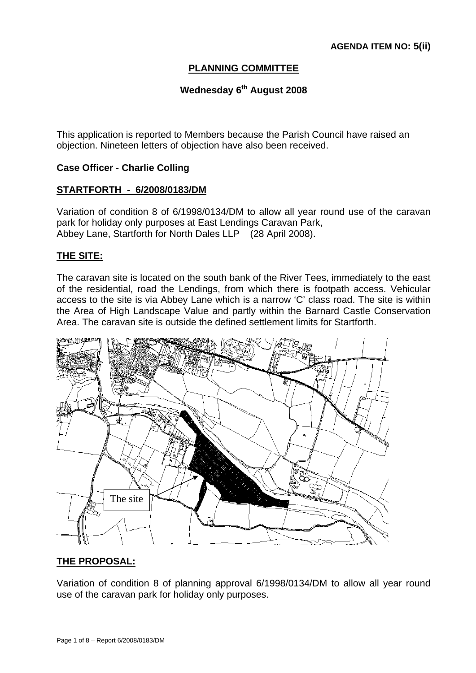# **PLANNING COMMITTEE**

# **Wednesday 6<sup>th</sup> August 2008**

This application is reported to Members because the Parish Council have raised an objection. Nineteen letters of objection have also been received.

## **Case Officer - Charlie Colling**

#### **STARTFORTH - 6/2008/0183/DM**

Variation of condition 8 of 6/1998/0134/DM to allow all year round use of the caravan park for holiday only purposes at East Lendings Caravan Park, Abbey Lane, Startforth for North Dales LLP (28 April 2008).

## **THE SITE:**

The caravan site is located on the south bank of the River Tees, immediately to the east of the residential, road the Lendings, from which there is footpath access. Vehicular access to the site is via Abbey Lane which is a narrow 'C' class road. The site is within the Area of High Landscape Value and partly within the Barnard Castle Conservation Area. The caravan site is outside the defined settlement limits for Startforth.



## **THE PROPOSAL:**

Variation of condition 8 of planning approval 6/1998/0134/DM to allow all year round use of the caravan park for holiday only purposes.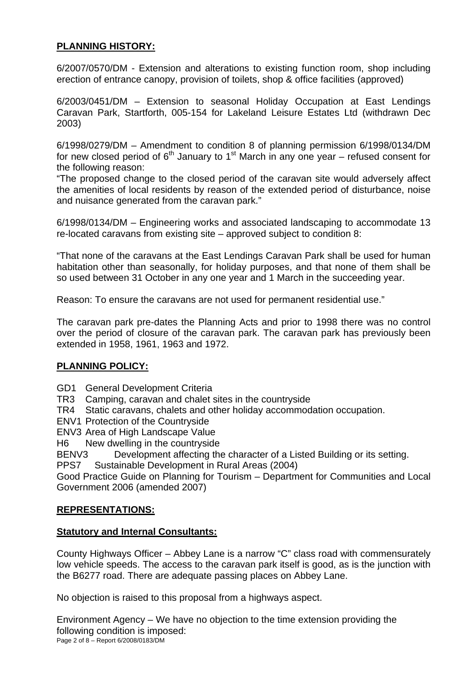# **PLANNING HISTORY:**

6/2007/0570/DM - Extension and alterations to existing function room, shop including erection of entrance canopy, provision of toilets, shop & office facilities (approved)

6/2003/0451/DM – Extension to seasonal Holiday Occupation at East Lendings Caravan Park, Startforth, 005-154 for Lakeland Leisure Estates Ltd (withdrawn Dec 2003)

6/1998/0279/DM – Amendment to condition 8 of planning permission 6/1998/0134/DM for new closed period of  $6<sup>th</sup>$  January to 1<sup>st</sup> March in any one year – refused consent for the following reason:

"The proposed change to the closed period of the caravan site would adversely affect the amenities of local residents by reason of the extended period of disturbance, noise and nuisance generated from the caravan park."

6/1998/0134/DM – Engineering works and associated landscaping to accommodate 13 re-located caravans from existing site – approved subject to condition 8:

"That none of the caravans at the East Lendings Caravan Park shall be used for human habitation other than seasonally, for holiday purposes, and that none of them shall be so used between 31 October in any one year and 1 March in the succeeding year.

Reason: To ensure the caravans are not used for permanent residential use."

The caravan park pre-dates the Planning Acts and prior to 1998 there was no control over the period of closure of the caravan park. The caravan park has previously been extended in 1958, 1961, 1963 and 1972.

## **PLANNING POLICY:**

- GD1 General Development Criteria
- TR3 Camping, caravan and chalet sites in the countryside
- TR4 Static caravans, chalets and other holiday accommodation occupation.
- ENV1 Protection of the Countryside
- ENV3 Area of High Landscape Value
- H6 New dwelling in the countryside

BENV3 Development affecting the character of a Listed Building or its setting.

PPS7 Sustainable Development in Rural Areas (2004)

Good Practice Guide on Planning for Tourism – Department for Communities and Local Government 2006 (amended 2007)

## **REPRESENTATIONS:**

## **Statutory and Internal Consultants:**

County Highways Officer – Abbey Lane is a narrow "C" class road with commensurately low vehicle speeds. The access to the caravan park itself is good, as is the junction with the B6277 road. There are adequate passing places on Abbey Lane.

No objection is raised to this proposal from a highways aspect.

Page 2 of 8 – Report 6/2008/0183/DM Environment Agency – We have no objection to the time extension providing the following condition is imposed: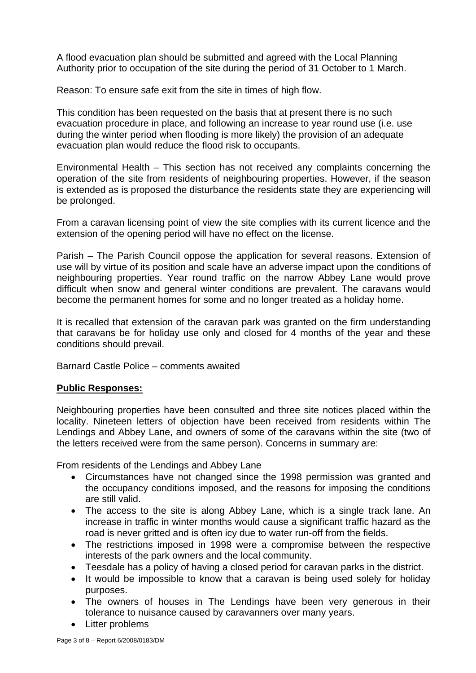A flood evacuation plan should be submitted and agreed with the Local Planning Authority prior to occupation of the site during the period of 31 October to 1 March.

Reason: To ensure safe exit from the site in times of high flow.

This condition has been requested on the basis that at present there is no such evacuation procedure in place, and following an increase to year round use (i.e. use during the winter period when flooding is more likely) the provision of an adequate evacuation plan would reduce the flood risk to occupants.

Environmental Health – This section has not received any complaints concerning the operation of the site from residents of neighbouring properties. However, if the season is extended as is proposed the disturbance the residents state they are experiencing will be prolonged.

From a caravan licensing point of view the site complies with its current licence and the extension of the opening period will have no effect on the license.

Parish – The Parish Council oppose the application for several reasons. Extension of use will by virtue of its position and scale have an adverse impact upon the conditions of neighbouring properties. Year round traffic on the narrow Abbey Lane would prove difficult when snow and general winter conditions are prevalent. The caravans would become the permanent homes for some and no longer treated as a holiday home.

It is recalled that extension of the caravan park was granted on the firm understanding that caravans be for holiday use only and closed for 4 months of the year and these conditions should prevail.

Barnard Castle Police – comments awaited

## **Public Responses:**

Neighbouring properties have been consulted and three site notices placed within the locality. Nineteen letters of objection have been received from residents within The Lendings and Abbey Lane, and owners of some of the caravans within the site (two of the letters received were from the same person). Concerns in summary are:

From residents of the Lendings and Abbey Lane

- Circumstances have not changed since the 1998 permission was granted and the occupancy conditions imposed, and the reasons for imposing the conditions are still valid.
- The access to the site is along Abbey Lane, which is a single track lane. An increase in traffic in winter months would cause a significant traffic hazard as the road is never gritted and is often icy due to water run-off from the fields.
- The restrictions imposed in 1998 were a compromise between the respective interests of the park owners and the local community.
- Teesdale has a policy of having a closed period for caravan parks in the district.
- It would be impossible to know that a caravan is being used solely for holiday purposes.
- The owners of houses in The Lendings have been very generous in their tolerance to nuisance caused by caravanners over many years.
- Litter problems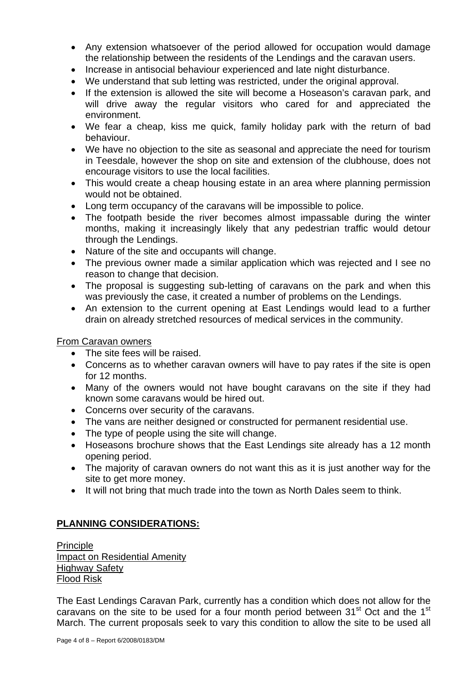- Any extension whatsoever of the period allowed for occupation would damage the relationship between the residents of the Lendings and the caravan users.
- Increase in antisocial behaviour experienced and late night disturbance.
- We understand that sub letting was restricted, under the original approval.
- If the extension is allowed the site will become a Hoseason's caravan park, and will drive away the regular visitors who cared for and appreciated the environment.
- We fear a cheap, kiss me quick, family holiday park with the return of bad behaviour.
- We have no objection to the site as seasonal and appreciate the need for tourism in Teesdale, however the shop on site and extension of the clubhouse, does not encourage visitors to use the local facilities.
- This would create a cheap housing estate in an area where planning permission would not be obtained.
- Long term occupancy of the caravans will be impossible to police.
- The footpath beside the river becomes almost impassable during the winter months, making it increasingly likely that any pedestrian traffic would detour through the Lendings.
- Nature of the site and occupants will change.
- The previous owner made a similar application which was rejected and I see no reason to change that decision.
- The proposal is suggesting sub-letting of caravans on the park and when this was previously the case, it created a number of problems on the Lendings.
- An extension to the current opening at East Lendings would lead to a further drain on already stretched resources of medical services in the community.

## From Caravan owners

- The site fees will be raised.
- Concerns as to whether caravan owners will have to pay rates if the site is open for 12 months.
- Many of the owners would not have bought caravans on the site if they had known some caravans would be hired out.
- Concerns over security of the caravans.
- The vans are neither designed or constructed for permanent residential use.
- The type of people using the site will change.
- Hoseasons brochure shows that the East Lendings site already has a 12 month opening period.
- The majority of caravan owners do not want this as it is just another way for the site to get more money.
- It will not bring that much trade into the town as North Dales seem to think.

# **PLANNING CONSIDERATIONS:**

Principle Impact on Residential Amenity Highway Safety Flood Risk

The East Lendings Caravan Park, currently has a condition which does not allow for the caravans on the site to be used for a four month period between  $31<sup>st</sup>$  Oct and the  $1<sup>st</sup>$ March. The current proposals seek to vary this condition to allow the site to be used all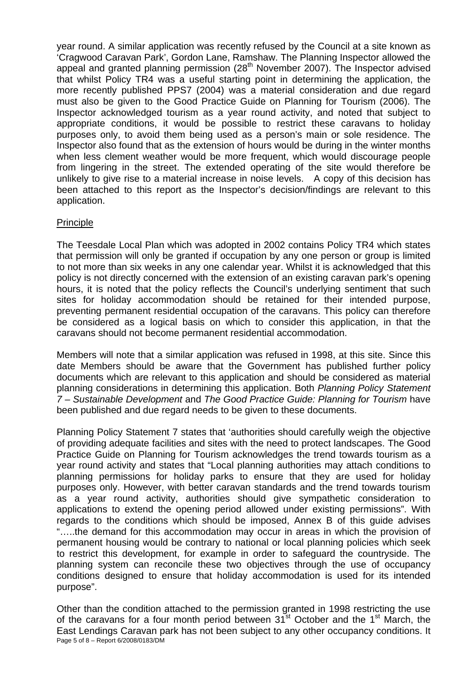year round. A similar application was recently refused by the Council at a site known as 'Cragwood Caravan Park', Gordon Lane, Ramshaw. The Planning Inspector allowed the appeal and granted planning permission (28<sup>th</sup> November 2007). The Inspector advised that whilst Policy TR4 was a useful starting point in determining the application, the more recently published PPS7 (2004) was a material consideration and due regard must also be given to the Good Practice Guide on Planning for Tourism (2006). The Inspector acknowledged tourism as a year round activity, and noted that subject to appropriate conditions, it would be possible to restrict these caravans to holiday purposes only, to avoid them being used as a person's main or sole residence. The Inspector also found that as the extension of hours would be during in the winter months when less clement weather would be more frequent, which would discourage people from lingering in the street. The extended operating of the site would therefore be unlikely to give rise to a material increase in noise levels. A copy of this decision has been attached to this report as the Inspector's decision/findings are relevant to this application.

## Principle

The Teesdale Local Plan which was adopted in 2002 contains Policy TR4 which states that permission will only be granted if occupation by any one person or group is limited to not more than six weeks in any one calendar year. Whilst it is acknowledged that this policy is not directly concerned with the extension of an existing caravan park's opening hours, it is noted that the policy reflects the Council's underlying sentiment that such sites for holiday accommodation should be retained for their intended purpose, preventing permanent residential occupation of the caravans. This policy can therefore be considered as a logical basis on which to consider this application, in that the caravans should not become permanent residential accommodation.

Members will note that a similar application was refused in 1998, at this site. Since this date Members should be aware that the Government has published further policy documents which are relevant to this application and should be considered as material planning considerations in determining this application. Both *Planning Policy Statement 7 – Sustainable Development* and *The Good Practice Guide: Planning for Tourism* have been published and due regard needs to be given to these documents.

Planning Policy Statement 7 states that 'authorities should carefully weigh the objective of providing adequate facilities and sites with the need to protect landscapes. The Good Practice Guide on Planning for Tourism acknowledges the trend towards tourism as a year round activity and states that "Local planning authorities may attach conditions to planning permissions for holiday parks to ensure that they are used for holiday purposes only. However, with better caravan standards and the trend towards tourism as a year round activity, authorities should give sympathetic consideration to applications to extend the opening period allowed under existing permissions". With regards to the conditions which should be imposed, Annex B of this guide advises "…..the demand for this accommodation may occur in areas in which the provision of permanent housing would be contrary to national or local planning policies which seek to restrict this development, for example in order to safeguard the countryside. The planning system can reconcile these two objectives through the use of occupancy conditions designed to ensure that holiday accommodation is used for its intended purpose".

Page 5 of 8 – Report 6/2008/0183/DM Other than the condition attached to the permission granted in 1998 restricting the use of the caravans for a four month period between 31<sup>st</sup> October and the 1<sup>st</sup> March, the East Lendings Caravan park has not been subject to any other occupancy conditions. It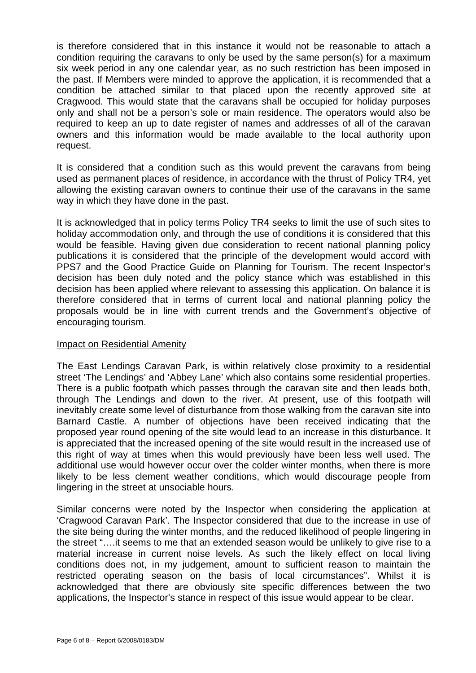is therefore considered that in this instance it would not be reasonable to attach a condition requiring the caravans to only be used by the same person(s) for a maximum six week period in any one calendar year, as no such restriction has been imposed in the past. If Members were minded to approve the application, it is recommended that a condition be attached similar to that placed upon the recently approved site at Cragwood. This would state that the caravans shall be occupied for holiday purposes only and shall not be a person's sole or main residence. The operators would also be required to keep an up to date register of names and addresses of all of the caravan owners and this information would be made available to the local authority upon request.

It is considered that a condition such as this would prevent the caravans from being used as permanent places of residence, in accordance with the thrust of Policy TR4, yet allowing the existing caravan owners to continue their use of the caravans in the same way in which they have done in the past.

It is acknowledged that in policy terms Policy TR4 seeks to limit the use of such sites to holiday accommodation only, and through the use of conditions it is considered that this would be feasible. Having given due consideration to recent national planning policy publications it is considered that the principle of the development would accord with PPS7 and the Good Practice Guide on Planning for Tourism. The recent Inspector's decision has been duly noted and the policy stance which was established in this decision has been applied where relevant to assessing this application. On balance it is therefore considered that in terms of current local and national planning policy the proposals would be in line with current trends and the Government's objective of encouraging tourism.

#### Impact on Residential Amenity

The East Lendings Caravan Park, is within relatively close proximity to a residential street 'The Lendings' and 'Abbey Lane' which also contains some residential properties. There is a public footpath which passes through the caravan site and then leads both, through The Lendings and down to the river. At present, use of this footpath will inevitably create some level of disturbance from those walking from the caravan site into Barnard Castle. A number of objections have been received indicating that the proposed year round opening of the site would lead to an increase in this disturbance. It is appreciated that the increased opening of the site would result in the increased use of this right of way at times when this would previously have been less well used. The additional use would however occur over the colder winter months, when there is more likely to be less clement weather conditions, which would discourage people from lingering in the street at unsociable hours.

Similar concerns were noted by the Inspector when considering the application at 'Cragwood Caravan Park'. The Inspector considered that due to the increase in use of the site being during the winter months, and the reduced likelihood of people lingering in the street "….it seems to me that an extended season would be unlikely to give rise to a material increase in current noise levels. As such the likely effect on local living conditions does not, in my judgement, amount to sufficient reason to maintain the restricted operating season on the basis of local circumstances". Whilst it is acknowledged that there are obviously site specific differences between the two applications, the Inspector's stance in respect of this issue would appear to be clear.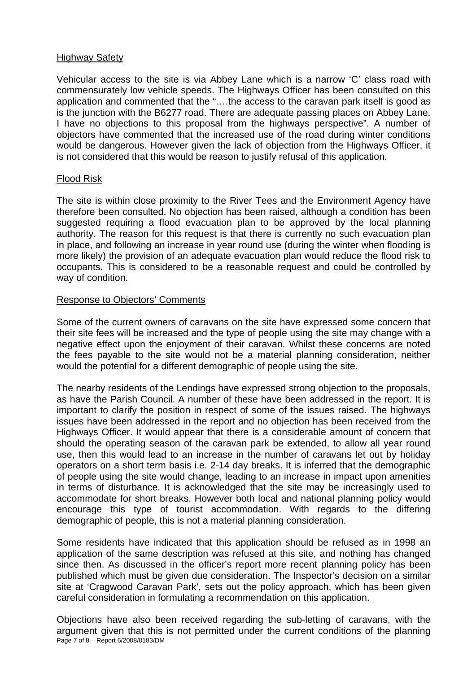#### Highway Safety

Vehicular access to the site is via Abbey Lane which is a narrow 'C' class road with commensurately low vehicle speeds. The Highways Officer has been consulted on this application and commented that the "….the access to the caravan park itself is good as is the junction with the B6277 road. There are adequate passing places on Abbey Lane. I have no objections to this proposal from the highways perspective". A number of objectors have commented that the increased use of the road during winter conditions would be dangerous. However given the lack of objection from the Highways Officer, it is not considered that this would be reason to justify refusal of this application.

#### Flood Risk

The site is within close proximity to the River Tees and the Environment Agency have therefore been consulted. No objection has been raised, although a condition has been suggested requiring a flood evacuation plan to be approved by the local planning authority. The reason for this request is that there is currently no such evacuation plan in place, and following an increase in year round use (during the winter when flooding is more likely) the provision of an adequate evacuation plan would reduce the flood risk to occupants. This is considered to be a reasonable request and could be controlled by way of condition.

#### Response to Objectors' Comments

Some of the current owners of caravans on the site have expressed some concern that their site fees will be increased and the type of people using the site may change with a negative effect upon the enjoyment of their caravan. Whilst these concerns are noted the fees payable to the site would not be a material planning consideration, neither would the potential for a different demographic of people using the site.

The nearby residents of the Lendings have expressed strong objection to the proposals, as have the Parish Council. A number of these have been addressed in the report. It is important to clarify the position in respect of some of the issues raised. The highways issues have been addressed in the report and no objection has been received from the Highways Officer. It would appear that there is a considerable amount of concern that should the operating season of the caravan park be extended, to allow all year round use, then this would lead to an increase in the number of caravans let out by holiday operators on a short term basis i.e. 2-14 day breaks. It is inferred that the demographic of people using the site would change, leading to an increase in impact upon amenities in terms of disturbance. It is acknowledged that the site may be increasingly used to accommodate for short breaks. However both local and national planning policy would encourage this type of tourist accommodation. With regards to the differing demographic of people, this is not a material planning consideration.

Some residents have indicated that this application should be refused as in 1998 an application of the same description was refused at this site, and nothing has changed since then. As discussed in the officer's report more recent planning policy has been published which must be given due consideration. The Inspector's decision on a similar site at 'Cragwood Caravan Park', sets out the policy approach, which has been given careful consideration in formulating a recommendation on this application.

Page 7 of 8 – Report 6/2008/0183/DM Objections have also been received regarding the sub-letting of caravans, with the argument given that this is not permitted under the current conditions of the planning